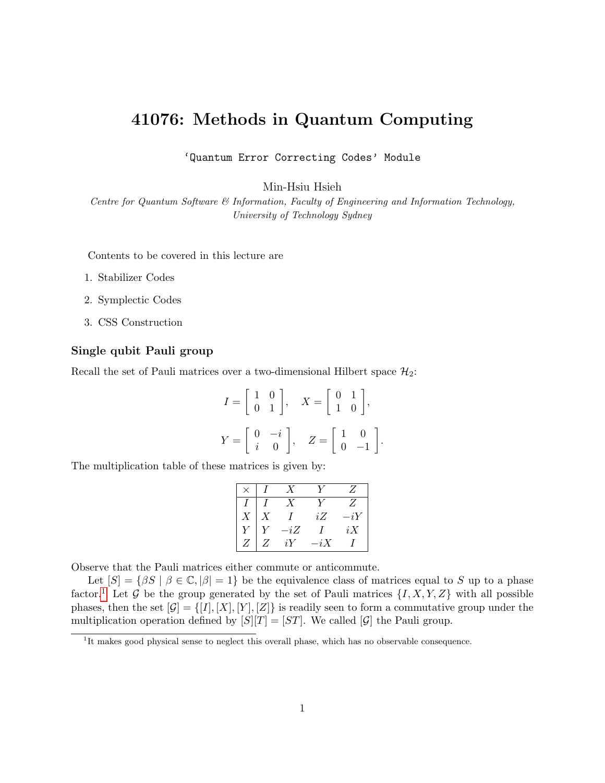# 41076: Methods in Quantum Computing

'Quantum Error Correcting Codes' Module

Min-Hsiu Hsieh

Centre for Quantum Software & Information, Faculty of Engineering and Information Technology, University of Technology Sydney

Contents to be covered in this lecture are

- 1. Stabilizer Codes
- 2. Symplectic Codes
- 3. CSS Construction

### Single qubit Pauli group

Recall the set of Pauli matrices over a two-dimensional Hilbert space  $\mathcal{H}_2$ :

$$
I = \begin{bmatrix} 1 & 0 \\ 0 & 1 \end{bmatrix}, \quad X = \begin{bmatrix} 0 & 1 \\ 1 & 0 \end{bmatrix},
$$

$$
Y = \begin{bmatrix} 0 & -i \\ i & 0 \end{bmatrix}, \quad Z = \begin{bmatrix} 1 & 0 \\ 0 & -1 \end{bmatrix}.
$$

The multiplication table of these matrices is given by:

|   |     |       | Z  |
|---|-----|-------|----|
|   |     |       | Ζ  |
|   |     | iΖ    | iY |
|   | -iZ |       | iX |
| Ζ | iY  | $-iX$ |    |

Observe that the Pauli matrices either commute or anticommute.

Let  $[S] = \{ \beta S \mid \beta \in \mathbb{C}, |\beta| = 1 \}$  be the equivalence class of matrices equal to S up to a phase factor.<sup>[1](#page-0-0)</sup> Let G be the group generated by the set of Pauli matrices  $\{I, X, Y, Z\}$  with all possible phases, then the set  $[\mathcal{G}] = \{[I], [X], [Y], [Z]\}$  is readily seen to form a commutative group under the multiplication operation defined by  $[S][T] = [ST]$ . We called  $[\mathcal{G}]$  the Pauli group.

<span id="page-0-0"></span><sup>&</sup>lt;sup>1</sup>It makes good physical sense to neglect this overall phase, which has no observable consequence.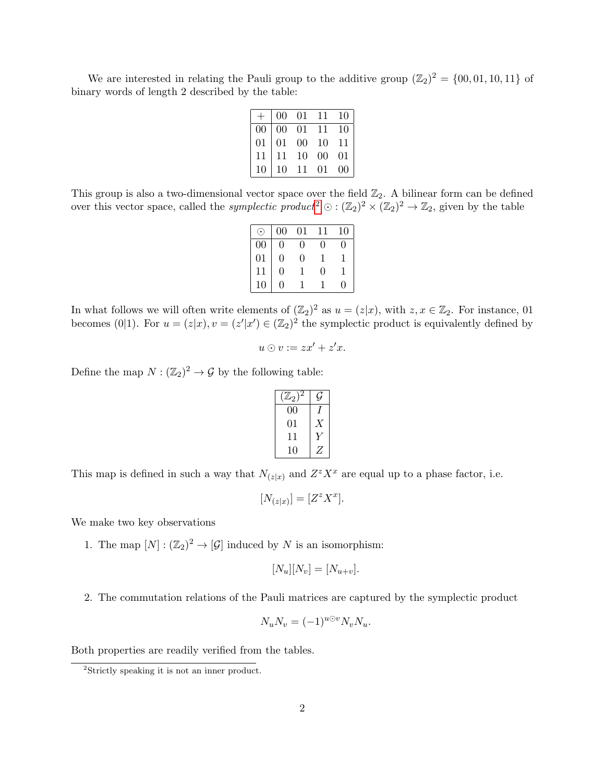We are interested in relating the Pauli group to the additive group  $(\mathbb{Z}_2)^2 = \{00, 01, 10, 11\}$  of binary words of length 2 described by the table:

|    | 00 | 01     | 11 | 10 |
|----|----|--------|----|----|
| 00 | 00 | 01     | 11 | 10 |
| 01 | 01 | $00\,$ | 10 | 11 |
| 11 | 11 | 10     | 00 | 01 |
| 10 | 10 | 11     | 01 | 00 |

This group is also a two-dimensional vector space over the field  $\mathbb{Z}_2$ . A bilinear form can be defined over this vector space, called the *symplectic product*<sup>[2](#page-1-0)</sup>  $\odot$  :  $(\mathbb{Z}_2)^2 \times (\mathbb{Z}_2)^2 \to \mathbb{Z}_2$ , given by the table

|                 | $00\,$ | 01                | 11 | 10 |
|-----------------|--------|-------------------|----|----|
| 00              | 0      | $\mathbf{\Omega}$ | 0  |    |
| $\overline{01}$ | 0      | $\left( \right)$  |    |    |
| 11              | 0      | L                 | 0  |    |
|                 | O)     |                   |    | 0  |

In what follows we will often write elements of  $(\mathbb{Z}_2)^2$  as  $u = (z|x)$ , with  $z, x \in \mathbb{Z}_2$ . For instance, 01 becomes (0|1). For  $u = (z|x), v = (z'|x') \in (\mathbb{Z}_2)^2$  the symplectic product is equivalently defined by

$$
u \odot v := zx' + z'x.
$$

Define the map  $N : (\mathbb{Z}_2)^2 \to \mathcal{G}$  by the following table:

| $({\mathbb Z}_2)$ |  |
|-------------------|--|
| 00                |  |
| 01                |  |
| 11                |  |
| 10                |  |

This map is defined in such a way that  $N_{(z|x)}$  and  $Z^z X^x$  are equal up to a phase factor, i.e.

$$
[N_{(z|x)}] = [Z^z X^x].
$$

We make two key observations

1. The map  $[N] : (\mathbb{Z}_2)^2 \to [\mathcal{G}]$  induced by N is an isomorphism:

$$
[N_u][N_v] = [N_{u+v}].
$$

2. The commutation relations of the Pauli matrices are captured by the symplectic product

$$
N_u N_v = (-1)^{u \odot v} N_v N_u.
$$

Both properties are readily verified from the tables.

<span id="page-1-0"></span><sup>2</sup>Strictly speaking it is not an inner product.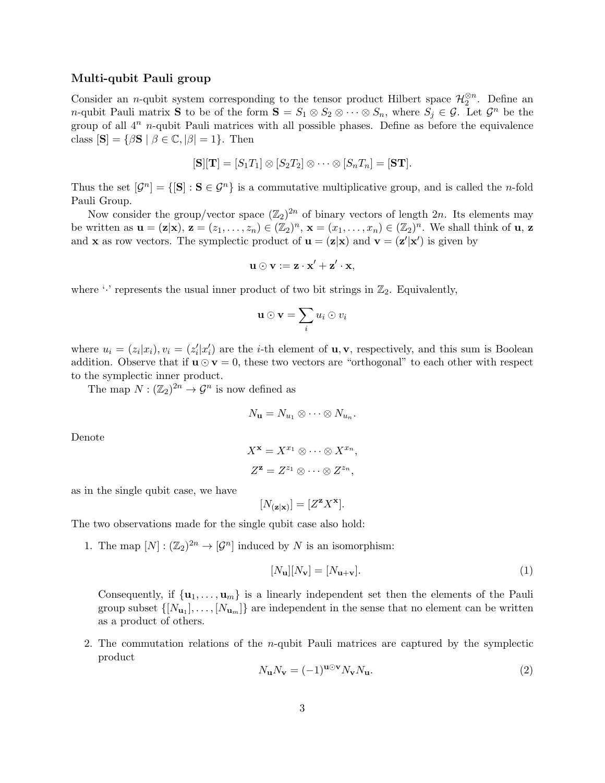### Multi-qubit Pauli group

Consider an *n*-qubit system corresponding to the tensor product Hilbert space  $\mathcal{H}_2^{\otimes n}$ . Define an *n*-qubit Pauli matrix **S** to be of the form  $S = S_1 \otimes S_2 \otimes \cdots \otimes S_n$ , where  $S_j \in \mathcal{G}$ . Let  $\mathcal{G}^n$  be the group of all  $4^n$  n-qubit Pauli matrices with all possible phases. Define as before the equivalence class  $[\mathbf{S}] = \{ \beta \mathbf{S} \mid \beta \in \mathbb{C}, |\beta| = 1 \}.$  Then

$$
[\mathbf{S}][\mathbf{T}]=[S_1T_1]\otimes [S_2T_2]\otimes \cdots \otimes [S_nT_n]=[\mathbf{ST}].
$$

Thus the set  $[\mathcal{G}^n] = \{[\mathbf{S}] : \mathbf{S} \in \mathcal{G}^n\}$  is a commutative multiplicative group, and is called the *n*-fold Pauli Group.

Now consider the group/vector space  $(\mathbb{Z}_2)^{2n}$  of binary vectors of length 2n. Its elements may be written as  $\mathbf{u} = (\mathbf{z}|\mathbf{x}), \, \mathbf{z} = (z_1, \ldots, z_n) \in (\mathbb{Z}_2)^n, \, \mathbf{x} = (x_1, \ldots, x_n) \in (\mathbb{Z}_2)^n$ . We shall think of  $\mathbf{u}, \, \mathbf{z}$ and **x** as row vectors. The symplectic product of  $\mathbf{u} = (\mathbf{z}|\mathbf{x})$  and  $\mathbf{v} = (\mathbf{z}'|\mathbf{x}')$  is given by

$$
\mathbf{u} \odot \mathbf{v} := \mathbf{z} \cdot \mathbf{x}' + \mathbf{z}' \cdot \mathbf{x},
$$

where  $\cdot$  represents the usual inner product of two bit strings in  $\mathbb{Z}_2$ . Equivalently,

$$
\mathbf{u}\odot\mathbf{v}=\sum_i u_i\odot v_i
$$

where  $u_i = (z_i|x_i), v_i = (z'_i|x'_i)$  are the *i*-th element of **u**, **v**, respectively, and this sum is Boolean addition. Observe that if  $\mathbf{u} \odot \mathbf{v} = 0$ , these two vectors are "orthogonal" to each other with respect to the symplectic inner product.

The map  $N : (\mathbb{Z}_2)^{2n} \to \mathcal{G}^n$  is now defined as

$$
N_{\mathbf{u}}=N_{u_1}\otimes\cdots\otimes N_{u_n}.
$$

Denote

$$
X^{\mathbf{x}} = X^{x_1} \otimes \cdots \otimes X^{x_n},
$$
  

$$
Z^{\mathbf{z}} = Z^{z_1} \otimes \cdots \otimes Z^{z_n},
$$

as in the single qubit case, we have

$$
[N_{(z|x)}] = [Z^{\mathbf{z}} X^{\mathbf{x}}].
$$

The two observations made for the single qubit case also hold:

1. The map  $[N] : (\mathbb{Z}_2)^{2n} \to [\mathcal{G}^n]$  induced by N is an isomorphism:

$$
[N_{\mathbf{u}}][N_{\mathbf{v}}] = [N_{\mathbf{u}+\mathbf{v}}]. \tag{1}
$$

Consequently, if  $\{u_1, \ldots, u_m\}$  is a linearly independent set then the elements of the Pauli group subset  $\{[N_{\mathbf{u}_1}], \ldots, [N_{\mathbf{u}_m}]\}$  are independent in the sense that no element can be written as a product of others.

2. The commutation relations of the  $n$ -qubit Pauli matrices are captured by the symplectic product

$$
N_{\mathbf{u}}N_{\mathbf{v}} = (-1)^{\mathbf{u}\odot\mathbf{v}}N_{\mathbf{v}}N_{\mathbf{u}}.\tag{2}
$$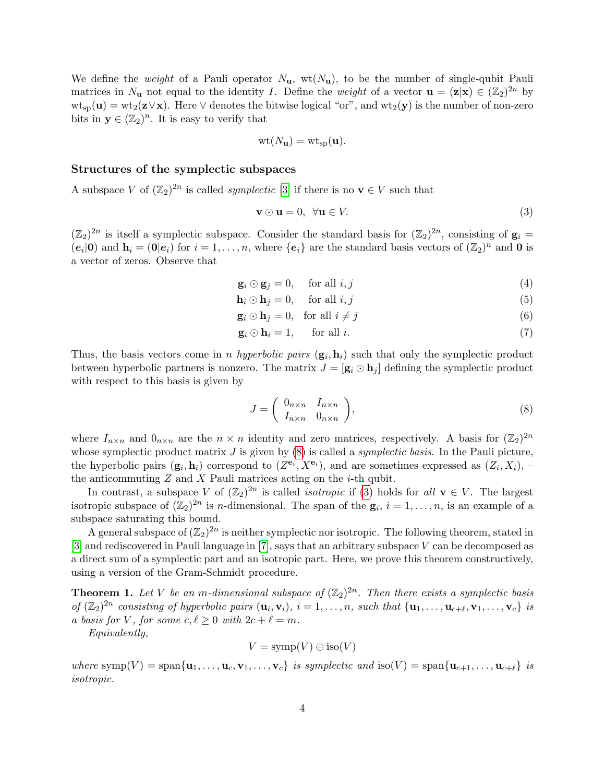We define the *weight* of a Pauli operator  $N_{\mathbf{u}}$ , wt $(N_{\mathbf{u}})$ , to be the number of single-qubit Pauli matrices in  $N_{\mathbf{u}}$  not equal to the identity I. Define the *weight* of a vector  $\mathbf{u} = (\mathbf{z}|\mathbf{x}) \in (\mathbb{Z}_2)^{2n}$  by  $wt_{sp}(u) = wt_2(z \vee x)$ . Here  $\vee$  denotes the bitwise logical "or", and  $wt_2(y)$  is the number of non-zero bits in  $y \in (\mathbb{Z}_2)^n$ . It is easy to verify that

$$
\text{wt}(N_{\mathbf{u}}) = \text{wt}_{\text{sp}}(\mathbf{u}).
$$

#### Structures of the symplectic subspaces

A subspace V of  $(\mathbb{Z}_2)^{2n}$  is called *symplectic* [\[3\]](#page-15-0) if there is no  $\mathbf{v} \in V$  such that

<span id="page-3-1"></span>
$$
\mathbf{v} \odot \mathbf{u} = 0, \ \forall \mathbf{u} \in V. \tag{3}
$$

 $(\mathbb{Z}_2)^{2n}$  is itself a symplectic subspace. Consider the standard basis for  $(\mathbb{Z}_2)^{2n}$ , consisting of  $\mathbf{g}_i =$  $(e_i|\mathbf{0})$  and  $\mathbf{h}_i = (\mathbf{0}|e_i)$  for  $i = 1, \ldots, n$ , where  $\{e_i\}$  are the standard basis vectors of  $(\mathbb{Z}_2)^n$  and **0** is a vector of zeros. Observe that

$$
\mathbf{g}_i \odot \mathbf{g}_j = 0, \quad \text{for all } i, j \tag{4}
$$

$$
\mathbf{h}_i \odot \mathbf{h}_j = 0, \quad \text{for all } i, j \tag{5}
$$

$$
\mathbf{g}_i \odot \mathbf{h}_j = 0, \quad \text{for all } i \neq j \tag{6}
$$

$$
\mathbf{g}_i \odot \mathbf{h}_i = 1, \quad \text{for all } i. \tag{7}
$$

Thus, the basis vectors come in *n hyperbolic pairs*  $(g_i, h_i)$  such that only the symplectic product between hyperbolic partners is nonzero. The matrix  $J = [\mathbf{g}_i \odot \mathbf{h}_j]$  defining the symplectic product with respect to this basis is given by

<span id="page-3-0"></span>
$$
J = \begin{pmatrix} 0_{n \times n} & I_{n \times n} \\ I_{n \times n} & 0_{n \times n} \end{pmatrix},
$$
 (8)

where  $I_{n\times n}$  and  $0_{n\times n}$  are the  $n \times n$  identity and zero matrices, respectively. A basis for  $(\mathbb{Z}_2)^{2n}$ whose symplectic product matrix  $J$  is given by  $(8)$  is called a *symplectic basis*. In the Pauli picture, the hyperbolic pairs  $(g_i, h_i)$  correspond to  $(Z^{e_i}, X^{e_i})$ , and are sometimes expressed as  $(Z_i, X_i)$ , the anticommuting  $Z$  and  $X$  Pauli matrices acting on the  $i$ -th qubit.

In contrast, a subspace V of  $(\mathbb{Z}_2)^{2n}$  is called *isotropic* if [\(3\)](#page-3-1) holds for all  $\mathbf{v} \in V$ . The largest isotropic subspace of  $(\mathbb{Z}_2)^{2n}$  is *n*-dimensional. The span of the  $\mathbf{g}_i$ ,  $i=1,\ldots,n$ , is an example of a subspace saturating this bound.

A general subspace of  $(\mathbb{Z}_2)^{2n}$  is neither symplectic nor isotropic. The following theorem, stated in [\[3\]](#page-15-0) and rediscovered in Pauli language in [\[7\]](#page-15-1), says that an arbitrary subspace V can be decomposed as a direct sum of a symplectic part and an isotropic part. Here, we prove this theorem constructively, using a version of the Gram-Schmidt procedure.

<span id="page-3-2"></span>**Theorem 1.** Let V be an m-dimensional subspace of  $(\mathbb{Z}_2)^{2n}$ . Then there exists a symplectic basis of  $(\mathbb{Z}_2)^{2n}$  consisting of hyperbolic pairs  $(\mathbf{u}_i, \mathbf{v}_i)$ ,  $i = 1, \ldots, n$ , such that  $\{\mathbf{u}_1, \ldots, \mathbf{u}_{c+\ell}, \mathbf{v}_1, \ldots, \mathbf{v}_c\}$  is a basis for V, for some  $c, \ell \geq 0$  with  $2c + \ell = m$ .

Equivalently,

$$
V = \text{symp}(V) \oplus \text{iso}(V)
$$

where  $\text{symp}(V) = \text{span}\{\mathbf{u}_1, \dots, \mathbf{u}_c, \mathbf{v}_1, \dots, \mathbf{v}_c\}$  is symplectic and  $\text{iso}(V) = \text{span}\{\mathbf{u}_{c+1}, \dots, \mathbf{u}_{c+\ell}\}$  is isotropic.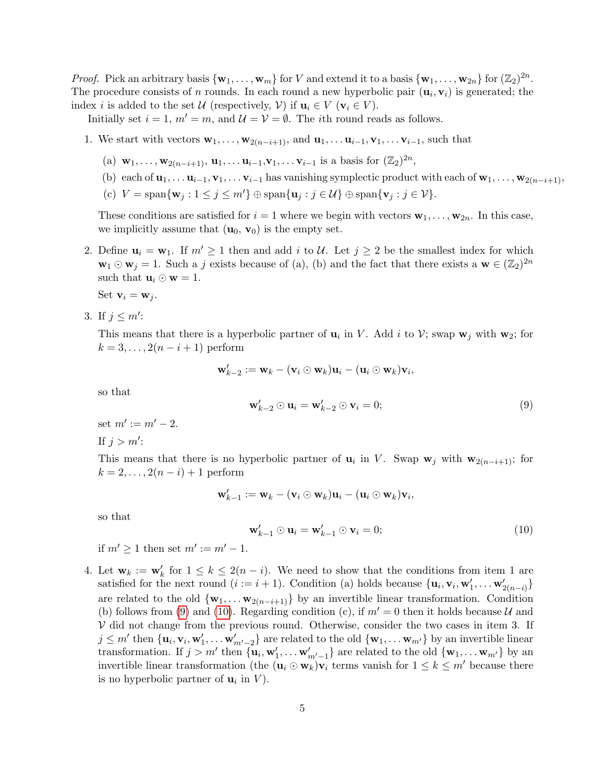*Proof.* Pick an arbitrary basis  $\{w_1, \ldots, w_m\}$  for V and extend it to a basis  $\{w_1, \ldots, w_{2n}\}$  for  $(\mathbb{Z}_2)^{2n}$ . The procedure consists of n rounds. In each round a new hyperbolic pair  $(\mathbf{u}_i, \mathbf{v}_i)$  is generated; the index i is added to the set U (respectively, V) if  $\mathbf{u}_i \in V$  ( $\mathbf{v}_i \in V$ ).

Initially set  $i = 1$ ,  $m' = m$ , and  $\mathcal{U} = \mathcal{V} = \emptyset$ . The *i*th round reads as follows.

- 1. We start with vectors  $\mathbf{w}_1, \ldots, \mathbf{w}_{2(n-i+1)}$ , and  $\mathbf{u}_1, \ldots, \mathbf{u}_{i-1}, \mathbf{v}_1, \ldots, \mathbf{v}_{i-1}$ , such that
	- (a)  $\mathbf{w}_1, \ldots, \mathbf{w}_{2(n-i+1)}, \mathbf{u}_1, \ldots, \mathbf{u}_{i-1}, \mathbf{v}_1, \ldots, \mathbf{v}_{i-1}$  is a basis for  $(\mathbb{Z}_2)^{2n}$ ,
	- (b) each of  $\mathbf{u}_1, \ldots, \mathbf{u}_{i-1}, \mathbf{v}_1, \ldots, \mathbf{v}_{i-1}$  has vanishing symplectic product with each of  $\mathbf{w}_1, \ldots, \mathbf{w}_{2(n-i+1)}$ ,
	- (c)  $V = \text{span}\{\mathbf{w}_j : 1 \le j \le m'\} \oplus \text{span}\{\mathbf{u}_j : j \in \mathcal{U}\} \oplus \text{span}\{\mathbf{v}_j : j \in \mathcal{V}\}.$

These conditions are satisfied for  $i = 1$  where we begin with vectors  $\mathbf{w}_1, \ldots, \mathbf{w}_{2n}$ . In this case, we implicitly assume that  $(\mathbf{u}_0, \mathbf{v}_0)$  is the empty set.

2. Define  $\mathbf{u}_i = \mathbf{w}_1$ . If  $m' \geq 1$  then and add i to U. Let  $j \geq 2$  be the smallest index for which  $\mathbf{w}_1 \odot \mathbf{w}_j = 1$ . Such a j exists because of (a), (b) and the fact that there exists a  $\mathbf{w} \in (\mathbb{Z}_2)^{2n}$ such that  $\mathbf{u}_i \odot \mathbf{w} = 1$ .

Set 
$$
\mathbf{v}_i = \mathbf{w}_j
$$

3. If  $j \leq m'$ :

This means that there is a hyperbolic partner of  $\mathbf{u}_i$  in V. Add i to V; swap  $\mathbf{w}_j$  with  $\mathbf{w}_2$ ; for  $k = 3, \ldots, 2(n - i + 1)$  perform

$$
\mathbf{w}'_{k-2} := \mathbf{w}_k - (\mathbf{v}_i \odot \mathbf{w}_k) \mathbf{u}_i - (\mathbf{u}_i \odot \mathbf{w}_k) \mathbf{v}_i,
$$

so that

<span id="page-4-0"></span>
$$
\mathbf{w}'_{k-2} \odot \mathbf{u}_i = \mathbf{w}'_{k-2} \odot \mathbf{v}_i = 0; \tag{9}
$$

set  $m' := m' - 2$ .

If  $j > m'$ :

This means that there is no hyperbolic partner of  $\mathbf{u}_i$  in V. Swap  $\mathbf{w}_j$  with  $\mathbf{w}_{2(n-i+1)}$ ; for  $k = 2, \ldots, 2(n - i) + 1$  perform

$$
\mathbf{w}'_{k-1}:=\mathbf{w}_k-(\mathbf{v}_i\odot\mathbf{w}_k)\mathbf{u}_i-(\mathbf{u}_i\odot\mathbf{w}_k)\mathbf{v}_i,
$$

so that

<span id="page-4-1"></span>
$$
\mathbf{w}'_{k-1} \odot \mathbf{u}_i = \mathbf{w}'_{k-1} \odot \mathbf{v}_i = 0; \tag{10}
$$

if  $m' \geq 1$  then set  $m' := m' - 1$ .

4. Let  $\mathbf{w}_k := \mathbf{w}'_k$  for  $1 \leq k \leq 2(n - i)$ . We need to show that the conditions from item 1 are satisfied for the next round  $(i := i + 1)$ . Condition (a) holds because  $\{u_i, v_i, w'_1, \ldots w'_{2(n-i)}\}$ are related to the old  $\{w_1, \ldots w_{2(n-i+1)}\}$  by an invertible linear transformation. Condition (b) follows from [\(9\)](#page-4-0) and [\(10\)](#page-4-1). Regarding condition (c), if  $m' = 0$  then it holds because U and  $V$  did not change from the previous round. Otherwise, consider the two cases in item 3. If  $j \leq m'$  then  $\{u_i, v_i, w_1', \ldots w_{m'-2}'\}$  are related to the old  $\{w_1, \ldots w_{m'}\}$  by an invertible linear transformation. If  $j > m'$  then  $\{\mathbf{u}_i, \mathbf{w}'_1, \dots, \mathbf{w}'_{m'-1}\}$  are related to the old  $\{\mathbf{w}_1, \dots, \mathbf{w}_{m'}\}$  by an invertible linear transformation (the  $(\mathbf{u}_i \odot \mathbf{w}_k) \mathbf{v}_i$  terms vanish for  $1 \leq k \leq m'$  because there is no hyperbolic partner of  $\mathbf{u}_i$  in  $V$ ).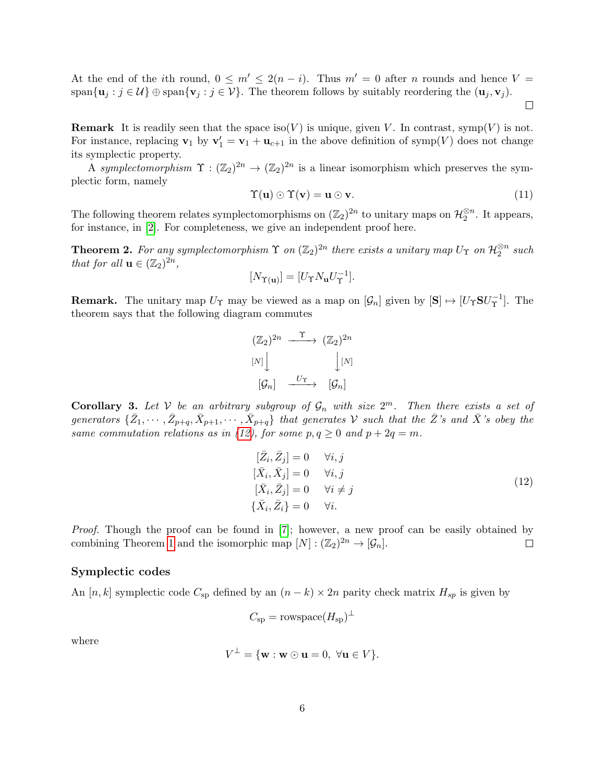At the end of the *i*th round,  $0 \leq m' \leq 2(n - i)$ . Thus  $m' = 0$  after *n* rounds and hence  $V =$ span $\{u_j : j \in \mathcal{U}\}\oplus \text{span}\{v_j : j \in \mathcal{V}\}\$ . The theorem follows by suitably reordering the  $(u_j, v_j)$ .

 $\Box$ 

**Remark** It is readily seen that the space iso(V) is unique, given V. In contrast, symp(V) is not. For instance, replacing  $\mathbf{v}_1$  by  $\mathbf{v}'_1 = \mathbf{v}_1 + \mathbf{u}_{c+1}$  in the above definition of symp(V) does not change its symplectic property.

A symplectomorphism  $\Upsilon : (\mathbb{Z}_2)^{2n} \to (\mathbb{Z}_2)^{2n}$  is a linear isomorphism which preserves the symplectic form, namely

$$
\Upsilon(\mathbf{u}) \odot \Upsilon(\mathbf{v}) = \mathbf{u} \odot \mathbf{v}.\tag{11}
$$

The following theorem relates symplectomorphisms on  $(\mathbb{Z}_2)^{2n}$  to unitary maps on  $\mathcal{H}_2^{\otimes n}$ . It appears, for instance, in [\[2\]](#page-15-2). For completeness, we give an independent proof here.

<span id="page-5-1"></span>**Theorem 2.** For any symplectomorphism  $\Upsilon$  on  $(\mathbb{Z}_2)^{2n}$  there exists a unitary map  $U_{\Upsilon}$  on  $\mathcal{H}_2^{\otimes n}$  such that for all  $\mathbf{u} \in (\mathbb{Z}_2)^{2n}$ ,

$$
[N_{\Upsilon(\mathbf{u})}] = [U_{\Upsilon} N_{\mathbf{u}} U_{\Upsilon}^{-1}].
$$

**Remark.** The unitary map  $U_{\Upsilon}$  may be viewed as a map on  $[\mathcal{G}_n]$  given by  $[\mathbf{S}] \mapsto [U_{\Upsilon} \mathbf{S} U_{\Upsilon}^{-1}]$  $\lbrack \frac{\cdot ^{-1}}{\Upsilon} \rbrack$ . The theorem says that the following diagram commutes

$$
(\mathbb{Z}_2)^{2n} \xrightarrow{\ \ \ \Upsilon \ \ } (\mathbb{Z}_2)^{2n}
$$

$$
[N] \downarrow \qquad \qquad [\mathbb{N}]
$$

$$
[\mathcal{G}_n] \xrightarrow{\ \ \ U_{\Upsilon} \ \ } [\mathcal{G}_n]
$$

**Corollary 3.** Let V be an arbitrary subgroup of  $\mathcal{G}_n$  with size  $2^m$ . Then there exists a set of generators  $\{\bar{Z}_1,\cdots,\bar{Z}_{p+q},\bar{X}_{p+1},\cdots,\bar{X}_{p+q}\}$  that generates V such that the  $\bar{Z}$ 's and  $\bar{X}$ 's obey the same commutation relations as in [\(12\)](#page-5-0), for some  $p, q \ge 0$  and  $p + 2q = m$ .

$$
[\bar{Z}_i, \bar{Z}_j] = 0 \quad \forall i, j
$$
  
\n
$$
[\bar{X}_i, \bar{X}_j] = 0 \quad \forall i, j
$$
  
\n
$$
[\bar{X}_i, \bar{Z}_j] = 0 \quad \forall i \neq j
$$
  
\n
$$
\{\bar{X}_i, \bar{Z}_i\} = 0 \quad \forall i.
$$
\n(12)

<span id="page-5-0"></span>Proof. Though the proof can be found in [\[7\]](#page-15-1); however, a new proof can be easily obtained by combining Theorem [1](#page-3-2) and the isomorphic map  $[N] : (\mathbb{Z}_2)^{2n} \to [\mathcal{G}_n]$ .  $\Box$ 

#### Symplectic codes

An [n, k] symplectic code  $C_{sp}$  defined by an  $(n - k) \times 2n$  parity check matrix  $H_{sp}$  is given by

$$
C_{\rm sp} = \text{rowspace}(H_{\rm sp})^{\perp}
$$

where

$$
V^{\perp} = \{ \mathbf{w} : \mathbf{w} \odot \mathbf{u} = 0, \ \forall \mathbf{u} \in V \}.
$$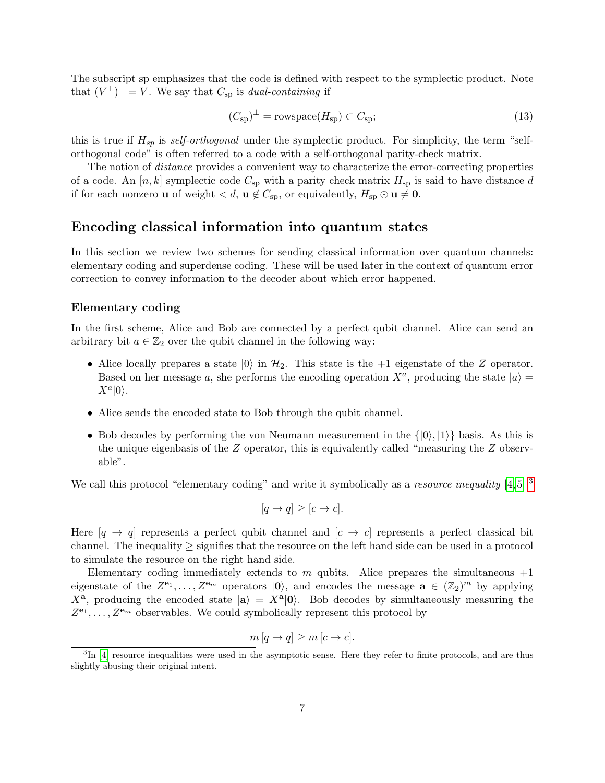The subscript sp emphasizes that the code is defined with respect to the symplectic product. Note that  $(V^{\perp})^{\perp} = V$ . We say that  $C_{\text{sp}}$  is *dual-containing* if

$$
(C_{\rm sp})^{\perp} = \text{rowspace}(H_{\rm sp}) \subset C_{\rm sp};\tag{13}
$$

this is true if  $H_{sp}$  is self-orthogonal under the symplectic product. For simplicity, the term "selforthogonal code" is often referred to a code with a self-orthogonal parity-check matrix.

The notion of *distance* provides a convenient way to characterize the error-correcting properties of a code. An  $[n, k]$  symplectic code  $C_{sp}$  with a parity check matrix  $H_{sp}$  is said to have distance d if for each nonzero **u** of weight  $\langle d, \mathbf{u} \notin C_{\text{sp}}$ , or equivalently,  $H_{\text{sp}} \odot \mathbf{u} \neq \mathbf{0}$ .

### Encoding classical information into quantum states

In this section we review two schemes for sending classical information over quantum channels: elementary coding and superdense coding. These will be used later in the context of quantum error correction to convey information to the decoder about which error happened.

#### Elementary coding

In the first scheme, Alice and Bob are connected by a perfect qubit channel. Alice can send an arbitrary bit  $a \in \mathbb{Z}_2$  over the qubit channel in the following way:

- Alice locally prepares a state  $|0\rangle$  in  $\mathcal{H}_2$ . This state is the +1 eigenstate of the Z operator. Based on her message a, she performs the encoding operation  $X^a$ , producing the state  $|a\rangle =$  $X^a|0\rangle.$
- Alice sends the encoded state to Bob through the qubit channel.
- Bob decodes by performing the von Neumann measurement in the  $\{|0\rangle, |1\rangle\}$  basis. As this is the unique eigenbasis of the Z operator, this is equivalently called "measuring the Z observable".

We call this protocol "elementary coding" and write it symbolically as a resource inequality [\[4,](#page-15-3)5] <sup>[3](#page-6-0)</sup>

$$
[q \to q] \ge [c \to c].
$$

Here  $[q \rightarrow q]$  represents a perfect qubit channel and  $[c \rightarrow c]$  represents a perfect classical bit channel. The inequality  $\geq$  signifies that the resource on the left hand side can be used in a protocol to simulate the resource on the right hand side.

Elementary coding immediately extends to m qubits. Alice prepares the simultaneous  $+1$ eigenstate of the  $Z^{e_1}, \ldots, Z^{e_m}$  operators  $|0\rangle$ , and encodes the message  $a \in (\mathbb{Z}_2)^m$  by applying  $X^{\mathbf{a}}$ , producing the encoded state  $|\mathbf{a}\rangle = X^{\mathbf{a}}|0\rangle$ . Bob decodes by simultaneously measuring the  $Z^{e_1}, \ldots, Z^{e_m}$  observables. We could symbolically represent this protocol by

$$
m [q \to q] \ge m [c \to c].
$$

<span id="page-6-0"></span><sup>&</sup>lt;sup>3</sup>In [\[4\]](#page-15-3) resource inequalities were used in the asymptotic sense. Here they refer to finite protocols, and are thus slightly abusing their original intent.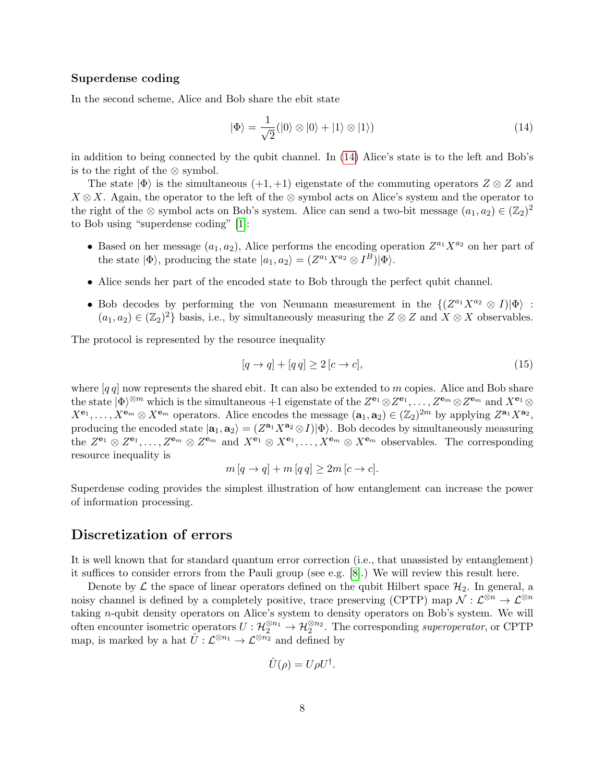### Superdense coding

In the second scheme, Alice and Bob share the ebit state

<span id="page-7-0"></span>
$$
|\Phi\rangle = \frac{1}{\sqrt{2}}(|0\rangle \otimes |0\rangle + |1\rangle \otimes |1\rangle)
$$
 (14)

in addition to being connected by the qubit channel. In [\(14\)](#page-7-0) Alice's state is to the left and Bob's is to the right of the ⊗ symbol.

The state  $|\Phi\rangle$  is the simultaneous  $(+1, +1)$  eigenstate of the commuting operators  $Z \otimes Z$  and  $X \otimes X$ . Again, the operator to the left of the ⊗ symbol acts on Alice's system and the operator to the right of the ⊗ symbol acts on Bob's system. Alice can send a two-bit message  $(a_1, a_2) \in (\mathbb{Z}_2)^2$ to Bob using "superdense coding" [\[1\]](#page-15-5):

- Based on her message  $(a_1, a_2)$ , Alice performs the encoding operation  $Z^{a_1}X^{a_2}$  on her part of the state  $|\Phi\rangle$ , producing the state  $|a_1, a_2\rangle = (Z^{a_1}X^{a_2} \otimes I^B)|\Phi\rangle$ .
- Alice sends her part of the encoded state to Bob through the perfect qubit channel.
- Bob decodes by performing the von Neumann measurement in the  $\{(Z^{a_1}X^{a_2} \otimes I)|\Phi\rangle :$  $(a_1, a_2) \in (\mathbb{Z}_2)^2$  basis, i.e., by simultaneously measuring the  $Z \otimes Z$  and  $X \otimes X$  observables.

The protocol is represented by the resource inequality

$$
[q \to q] + [q \, q] \ge 2 \left[ c \to c \right],\tag{15}
$$

where  $[q q]$  now represents the shared ebit. It can also be extended to m copies. Alice and Bob share the state  $|\Phi\rangle^{\otimes m}$  which is the simultaneous +1 eigenstate of the  $Z^{\mathbf{e}_1} \otimes Z^{\mathbf{e}_1}, \ldots, Z^{\mathbf{e}_m} \otimes Z^{\mathbf{e}_m}$  and  $X^{\mathbf{e}_1} \otimes Z^{\mathbf{e}_m}$  $X^{\mathbf{e}_1}, \ldots, X^{\mathbf{e}_m} \otimes X^{\mathbf{e}_m}$  operators. Alice encodes the message  $(\mathbf{a}_1, \mathbf{a}_2) \in (\mathbb{Z}_2)^{2m}$  by applying  $Z^{\mathbf{a}_1} X^{\mathbf{a}_2}$ , producing the encoded state  $|a_1, a_2\rangle = (Z^{a_1}X^{a_2} \otimes I)|\Phi\rangle$ . Bob decodes by simultaneously measuring the  $Z^{e_1} \otimes Z^{e_1}, \ldots, Z^{e_m} \otimes Z^{e_m}$  and  $X^{e_1} \otimes X^{e_1}, \ldots, X^{e_m} \otimes X^{e_m}$  observables. The corresponding resource inequality is

$$
m [q \to q] + m [q q] \geq 2m [c \to c].
$$

Superdense coding provides the simplest illustration of how entanglement can increase the power of information processing.

# Discretization of errors

It is well known that for standard quantum error correction (i.e., that unassisted by entanglement) it suffices to consider errors from the Pauli group (see e.g. [\[8\]](#page-16-0).) We will review this result here.

Denote by  $\mathcal L$  the space of linear operators defined on the qubit Hilbert space  $\mathcal H_2$ . In general, a noisy channel is defined by a completely positive, trace preserving (CPTP) map  $\mathcal{N}: \mathcal{L}^{\otimes n} \to \mathcal{L}^{\otimes n}$ taking n-qubit density operators on Alice's system to density operators on Bob's system. We will often encounter isometric operators  $U: \mathcal{H}_2^{\otimes n_1} \to \mathcal{H}_2^{\otimes n_2}$ . The corresponding superoperator, or CPTP map, is marked by a hat  $\hat{U} : \mathcal{L}^{\otimes n_1} \to \mathcal{L}^{\otimes n_2}$  and defined by

$$
\hat{U}(\rho) = U\rho U^{\dagger}.
$$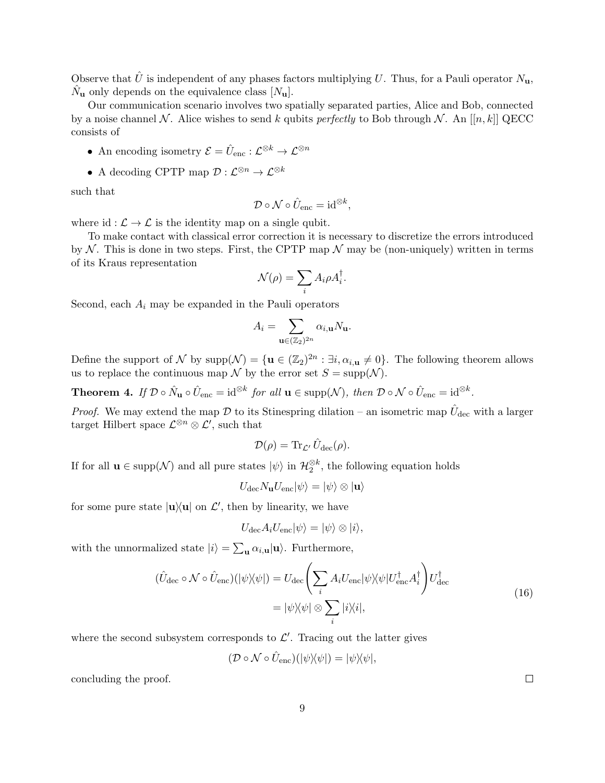Observe that  $\hat{U}$  is independent of any phases factors multiplying U. Thus, for a Pauli operator  $N_{\mathbf{u}}$ ,  $\hat{N}_{\mathbf{u}}$  only depends on the equivalence class  $[N_{\mathbf{u}}]$ .

Our communication scenario involves two spatially separated parties, Alice and Bob, connected by a noise channel N. Alice wishes to send k qubits perfectly to Bob through N. An  $[[n, k]]$  QECC consists of

- An encoding isometry  $\mathcal{E} = \hat{U}_{\text{enc}} : \mathcal{L}^{\otimes k} \to \mathcal{L}^{\otimes n}$
- A decoding CPTP map  $\mathcal{D}: \mathcal{L}^{\otimes n} \to \mathcal{L}^{\otimes k}$

such that

$$
\mathcal{D} \circ \mathcal{N} \circ \hat{U}_{\text{enc}} = \mathrm{id}^{\otimes k},
$$

where id :  $\mathcal{L} \to \mathcal{L}$  is the identity map on a single qubit.

To make contact with classical error correction it is necessary to discretize the errors introduced by N. This is done in two steps. First, the CPTP map  $\mathcal N$  may be (non-uniquely) written in terms of its Kraus representation

$$
\mathcal{N}(\rho) = \sum_i A_i \rho A_i^{\dagger}.
$$

Second, each  $A_i$  may be expanded in the Pauli operators

$$
A_i = \sum_{\mathbf{u} \in (\mathbb{Z}_2)^{2n}} \alpha_{i,\mathbf{u}} N_{\mathbf{u}}.
$$

Define the support of N by  $\text{supp}(\mathcal{N}) = {\mathbf{u} \in (\mathbb{Z}_2)^{2n} : \exists i, \alpha_{i,\mathbf{u}} \neq 0}.$  The following theorem allows us to replace the continuous map  $\mathcal N$  by the error set  $S = \text{supp}(\mathcal N)$ .

Theorem 4. If  $\mathcal{D} \circ \hat{N}_{\mathbf{u}} \circ \hat{U}_{\text{enc}} = \mathrm{id}^{\otimes k}$  for all  $\mathbf{u} \in \text{supp}(\mathcal{N})$ , then  $\mathcal{D} \circ \mathcal{N} \circ \hat{U}_{\text{enc}} = \mathrm{id}^{\otimes k}$ .

*Proof.* We may extend the map  $D$  to its Stinespring dilation – an isometric map  $\hat{U}_{\text{dec}}$  with a larger target Hilbert space  $\mathcal{L}^{\otimes n} \otimes \mathcal{L}'$ , such that

$$
\mathcal{D}(\rho) = \text{Tr}_{\mathcal{L}'} \, \hat{U}_{\text{dec}}(\rho).
$$

If for all  $\mathbf{u} \in \text{supp}(\mathcal{N})$  and all pure states  $|\psi\rangle$  in  $\mathcal{H}_2^{\otimes k}$ , the following equation holds

$$
U_{\text{dec}}N_{\mathbf{u}}U_{\text{enc}}|\psi\rangle=|\psi\rangle\otimes|\mathbf{u}\rangle
$$

for some pure state  $|u\rangle\langle u|$  on  $\mathcal{L}'$ , then by linearity, we have

$$
U_{\text{dec}}A_iU_{\text{enc}}|\psi\rangle = |\psi\rangle \otimes |i\rangle,
$$

with the unnormalized state  $|i\rangle = \sum_{\mathbf{u}} \alpha_{i,\mathbf{u}} |\mathbf{u}\rangle$ . Furthermore,

$$
(\hat{U}_{\text{dec}} \circ \mathcal{N} \circ \hat{U}_{\text{enc}})(|\psi\rangle\langle\psi|) = U_{\text{dec}} \left(\sum_{i} A_{i} U_{\text{enc}} |\psi\rangle\langle\psi| U_{\text{enc}}^{\dagger} A_{i}^{\dagger}\right) U_{\text{dec}}^{\dagger}
$$

$$
= |\psi\rangle\langle\psi| \otimes \sum_{i} |i\rangle\langle i|,
$$
(16)

where the second subsystem corresponds to  $\mathcal{L}'$ . Tracing out the latter gives

$$
(\mathcal{D} \circ \mathcal{N} \circ \hat{U}_{\text{enc}})(|\psi\rangle\!\langle\psi|) = |\psi\rangle\!\langle\psi|,
$$

concluding the proof.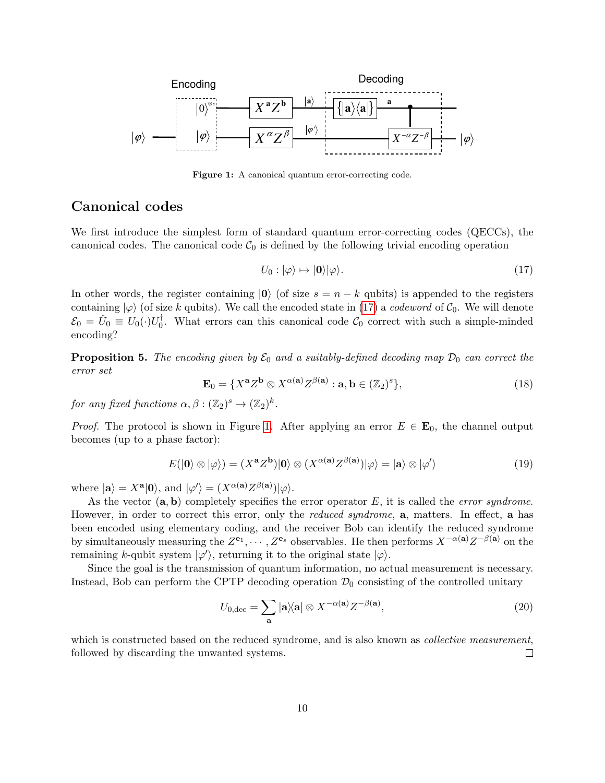<span id="page-9-1"></span>

Figure 1: A canonical quantum error-correcting code.

### Canonical codes

We first introduce the simplest form of standard quantum error-correcting codes (QECCs), the canonical codes. The canonical code  $\mathcal{C}_0$  is defined by the following trivial encoding operation

<span id="page-9-0"></span>
$$
U_0: |\varphi\rangle \mapsto |\mathbf{0}\rangle |\varphi\rangle. \tag{17}
$$

In other words, the register containing  $|0\rangle$  (of size  $s = n - k$  qubits) is appended to the registers containing  $|\varphi\rangle$  (of size k qubits). We call the encoded state in [\(17\)](#page-9-0) a *codeword* of  $C_0$ . We will denote  $\mathcal{E}_0\,=\,\hat{U}_0\,\equiv\,U_0(\cdot)U_0^\dagger$ <sup> $\bar{0}$ </sup>. What errors can this canonical code  $\mathcal{C}_0$  correct with such a simple-minded encoding?

**Proposition 5.** The encoding given by  $\mathcal{E}_0$  and a suitably-defined decoding map  $\mathcal{D}_0$  can correct the error set

$$
\mathbf{E}_0 = \{ X^{\mathbf{a}} Z^{\mathbf{b}} \otimes X^{\alpha(\mathbf{a})} Z^{\beta(\mathbf{a})} : \mathbf{a}, \mathbf{b} \in (\mathbb{Z}_2)^s \},\tag{18}
$$

for any fixed functions  $\alpha, \beta : (\mathbb{Z}_2)^s \to (\mathbb{Z}_2)^k$ .

*Proof.* The protocol is shown in Figure [1.](#page-9-1) After applying an error  $E \in \mathbf{E}_0$ , the channel output becomes (up to a phase factor):

$$
E(|0\rangle \otimes |\varphi\rangle) = (X^{\mathbf{a}}Z^{\mathbf{b}})|0\rangle \otimes (X^{\alpha(\mathbf{a})}Z^{\beta(\mathbf{a})})|\varphi\rangle = |\mathbf{a}\rangle \otimes |\varphi'\rangle \tag{19}
$$

where  $|\mathbf{a}\rangle = X^{\mathbf{a}}|0\rangle$ , and  $|\varphi'\rangle = (X^{\alpha(\mathbf{a})}Z^{\beta(\mathbf{a})})|\varphi\rangle$ .

As the vector  $(a, b)$  completely specifies the error operator E, it is called the *error syndrome*. However, in order to correct this error, only the *reduced syndrome*, **a**, matters. In effect, **a** has been encoded using elementary coding, and the receiver Bob can identify the reduced syndrome by simultaneously measuring the  $Z^{e_1}, \cdots, Z^{e_s}$  observables. He then performs  $X^{-\alpha(\mathbf{a})}Z^{-\beta(\mathbf{a})}$  on the remaining k-qubit system  $|\varphi'\rangle$ , returning it to the original state  $|\varphi\rangle$ .

Since the goal is the transmission of quantum information, no actual measurement is necessary. Instead, Bob can perform the CPTP decoding operation  $\mathcal{D}_0$  consisting of the controlled unitary

<span id="page-9-2"></span>
$$
U_{0,\text{dec}} = \sum_{\mathbf{a}} |\mathbf{a}\rangle \langle \mathbf{a} | \otimes X^{-\alpha(\mathbf{a})} Z^{-\beta(\mathbf{a})}, \tag{20}
$$

which is constructed based on the reduced syndrome, and is also known as *collective measurement*, followed by discarding the unwanted systems.  $\Box$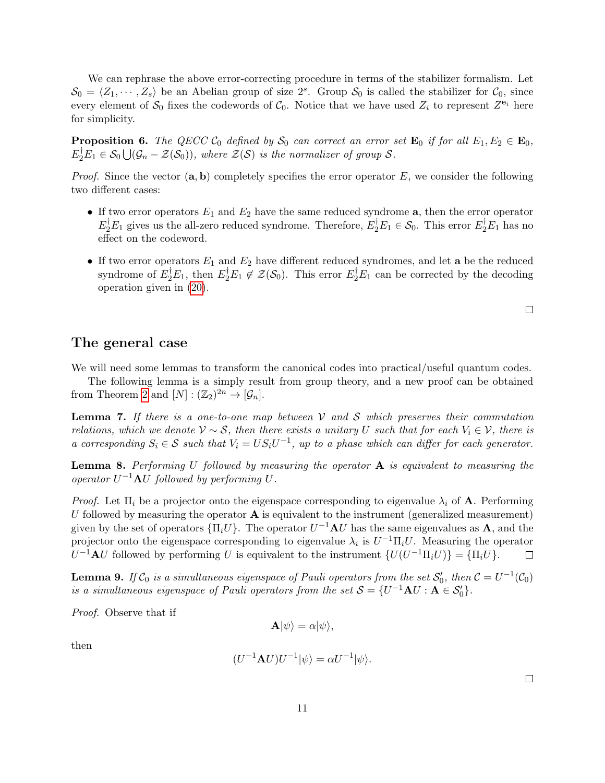We can rephrase the above error-correcting procedure in terms of the stabilizer formalism. Let  $S_0 = \langle Z_1, \cdots, Z_s \rangle$  be an Abelian group of size  $2^s$ . Group  $S_0$  is called the stabilizer for  $C_0$ , since every element of  $S_0$  fixes the codewords of  $C_0$ . Notice that we have used  $Z_i$  to represent  $Z^{e_i}$  here for simplicity.

<span id="page-10-1"></span>**Proposition 6.** The QECC  $C_0$  defined by  $S_0$  can correct an error set  $\mathbf{E}_0$  if for all  $E_1, E_2 \in \mathbf{E}_0$ ,  $E_2^{\dagger}E_1 \in \mathcal{S}_0 \bigcup (\mathcal{G}_n - \mathcal{Z}(\mathcal{S}_0)),$  where  $\mathcal{Z}(\mathcal{S})$  is the normalizer of group  $\mathcal{S}.$ 

*Proof.* Since the vector  $(a, b)$  completely specifies the error operator E, we consider the following two different cases:

- If two error operators  $E_1$  and  $E_2$  have the same reduced syndrome  $a$ , then the error operator  $E_2^{\dagger}E_1$  gives us the all-zero reduced syndrome. Therefore,  $E_2^{\dagger}E_1 \in \mathcal{S}_0$ . This error  $E_2^{\dagger}E_1$  has no effect on the codeword.
- If two error operators  $E_1$  and  $E_2$  have different reduced syndromes, and let **a** be the reduced syndrome of  $E_2^{\dagger}E_1$ , then  $E_2^{\dagger}E_1 \notin \mathcal{Z}(\mathcal{S}_0)$ . This error  $E_2^{\dagger}E_1$  can be corrected by the decoding operation given in [\(20\)](#page-9-2).

### The general case

We will need some lemmas to transform the canonical codes into practical/useful quantum codes.

The following lemma is a simply result from group theory, and a new proof can be obtained from Theorem [2](#page-5-1) and  $[N] : (\mathbb{Z}_2)^{2n} \to [\mathcal{G}_n]$ .

<span id="page-10-2"></span>**Lemma 7.** If there is a one-to-one map between  $V$  and  $S$  which preserves their commutation relations, which we denote  $\mathcal{V} \sim \mathcal{S}$ , then there exists a unitary U such that for each  $V_i \in \mathcal{V}$ , there is a corresponding  $S_i \in \mathcal{S}$  such that  $V_i = US_iU^{-1}$ , up to a phase which can differ for each generator.

<span id="page-10-0"></span>**Lemma 8.** Performing U followed by measuring the operator  $A$  is equivalent to measuring the operator  $U^{-1}$ **A**U followed by performing U.

*Proof.* Let  $\Pi_i$  be a projector onto the eigenspace corresponding to eigenvalue  $\lambda_i$  of **A**. Performing U followed by measuring the operator  $\bf{A}$  is equivalent to the instrument (generalized measurement) given by the set of operators  ${\{\Pi_i U\}}$ . The operator  $U^{-1} {\bf A} U$  has the same eigenvalues as  ${\bf A}$ , and the projector onto the eigenspace corresponding to eigenvalue  $\lambda_i$  is  $U^{-1} \Pi_i U$ . Measuring the operator  $U^{-1}$ **A**U followed by performing U is equivalent to the instrument  $\{U(U^{-1}\Pi_i U)\} = \{\Pi_i U\}.$  $\Box$ 

<span id="page-10-3"></span>**Lemma 9.** If  $C_0$  is a simultaneous eigenspace of Pauli operators from the set  $S'_0$ , then  $C = U^{-1}(C_0)$ is a simultaneous eigenspace of Pauli operators from the set  $S = \{U^{-1} A U : A \in S'_0\}.$ 

Proof. Observe that if

$$
\mathbf{A}|\psi\rangle = \alpha |\psi\rangle,
$$

then

$$
(U^{-1}\mathbf{A}U)U^{-1}|\psi\rangle = \alpha U^{-1}|\psi\rangle.
$$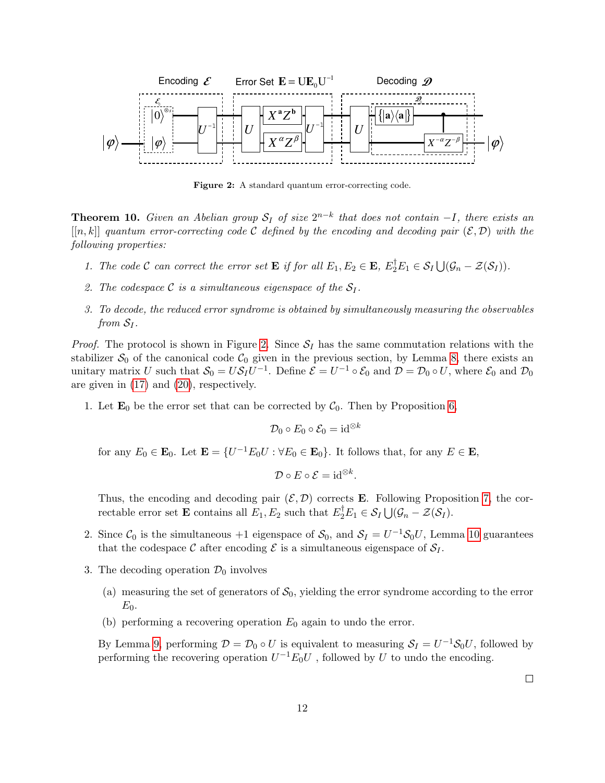<span id="page-11-0"></span>

Figure 2: A standard quantum error-correcting code.

<span id="page-11-1"></span>**Theorem 10.** Given an Abelian group  $S_I$  of size  $2^{n-k}$  that does not contain  $-I$ , there exists an  $[[n, k]]$  quantum error-correcting code C defined by the encoding and decoding pair  $(\mathcal{E}, \mathcal{D})$  with the following properties:

- 1. The code C can correct the error set **E** if for all  $E_1, E_2 \in \mathbf{E}, E_2^{\dagger} E_1 \in S_I \cup (G_n \mathcal{Z}(S_I)).$
- 2. The codespace C is a simultaneous eigenspace of the  $S_I$ .
- 3. To decode, the reduced error syndrome is obtained by simultaneously measuring the observables from  $S_I$ .

*Proof.* The protocol is shown in Figure [2.](#page-11-0) Since  $S_I$  has the same commutation relations with the stabilizer  $S_0$  of the canonical code  $C_0$  given in the previous section, by Lemma [8,](#page-10-0) there exists an unitary matrix U such that  $S_0 = US_I U^{-1}$ . Define  $\mathcal{E} = U^{-1} \circ \mathcal{E}_0$  and  $\mathcal{D} = \mathcal{D}_0 \circ U$ , where  $\mathcal{E}_0$  and  $\mathcal{D}_0$ are given in [\(17\)](#page-9-0) and [\(20\)](#page-9-2), respectively.

1. Let  $\mathbf{E}_0$  be the error set that can be corrected by  $\mathcal{C}_0$ . Then by Proposition [6,](#page-10-1)

$$
\mathcal{D}_0 \circ E_0 \circ \mathcal{E}_0 = \mathrm{id}^{\otimes k}
$$

for any  $E_0 \in \mathbf{E}_0$ . Let  $\mathbf{E} = \{U^{-1}E_0U : \forall E_0 \in \mathbf{E}_0\}$ . It follows that, for any  $E \in \mathbf{E}$ ,

$$
\mathcal{D}\circ E\circ \mathcal{E}=\mathrm{id}^{\otimes k}.
$$

Thus, the encoding and decoding pair  $(\mathcal{E}, \mathcal{D})$  corrects **E**. Following Proposition [7,](#page-10-2) the correctable error set **E** contains all  $E_1, E_2$  such that  $E_2^{\dagger} E_1 \in S_I \bigcup (\mathcal{G}_n - \mathcal{Z}(S_I)).$ 

- 2. Since  $C_0$  is the simultaneous +1 eigenspace of  $S_0$ , and  $S_I = U^{-1}S_0U$ , Lemma [10](#page-11-1) guarantees that the codespace C after encoding  $\mathcal E$  is a simultaneous eigenspace of  $\mathcal S_I$ .
- 3. The decoding operation  $\mathcal{D}_0$  involves
	- (a) measuring the set of generators of  $S_0$ , yielding the error syndrome according to the error  $E_0$ .
	- (b) performing a recovering operation  $E_0$  again to undo the error.

By Lemma [9,](#page-10-3) performing  $\mathcal{D} = \mathcal{D}_0 \circ U$  is equivalent to measuring  $\mathcal{S}_I = U^{-1} \mathcal{S}_0 U$ , followed by performing the recovering operation  $U^{-1}E_0U$ , followed by U to undo the encoding.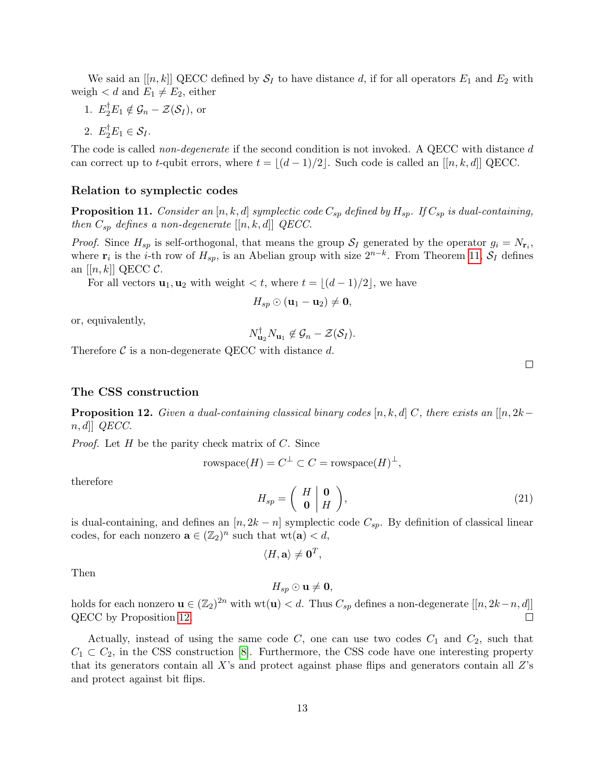We said an  $[[n, k]]$  QECC defined by  $S_I$  to have distance d, if for all operators  $E_1$  and  $E_2$  with weigh  $d$  and  $E_1 \neq E_2$ , either

1.  $E_2^{\dagger} E_1 \notin \mathcal{G}_n - \mathcal{Z}(\mathcal{S}_I)$ , or

2.  $E_2^{\dagger} E_1 \in \mathcal{S}_I$ .

The code is called *non-degenerate* if the second condition is not invoked. A QECC with distance d can correct up to t-qubit errors, where  $t = |(d - 1)/2|$ . Such code is called an  $[[n, k, d]]$  QECC.

#### Relation to symplectic codes

<span id="page-12-0"></span>**Proposition 11.** Consider an [n, k, d] symplectic code  $C_{sp}$  defined by  $H_{sp}$ . If  $C_{sp}$  is dual-containing, then  $C_{sp}$  defines a non-degenerate  $[[n, k, d]]$  QECC.

*Proof.* Since  $H_{sp}$  is self-orthogonal, that means the group  $S_I$  generated by the operator  $g_i = N_{\mathbf{r}_i}$ , where  $\mathbf{r}_i$  is the *i*-th row of  $H_{sp}$ , is an Abelian group with size  $2^{n-k}$ . From Theorem [11,](#page-12-0)  $\mathcal{S}_I$  defines an  $[[n, k]]$  QECC  $\mathcal{C}$ .

For all vectors  $\mathbf{u}_1, \mathbf{u}_2$  with weight  $\lt t$ , where  $t = |(d - 1)/2|$ , we have

$$
H_{sp} \odot (\mathbf{u}_1 - \mathbf{u}_2) \neq \mathbf{0},
$$

or, equivalently,

$$
N_{\mathbf{u}_2}^{\dagger} N_{\mathbf{u}_1} \not\in \mathcal{G}_n - \mathcal{Z}(\mathcal{S}_I).
$$

Therefore  $\mathcal C$  is a non-degenerate QECC with distance  $d$ .

#### The CSS construction

<span id="page-12-1"></span>**Proposition 12.** Given a dual-containing classical binary codes [n, k, d] C, there exists an [[n, 2k−  $n, d$ ] QECC.

*Proof.* Let  $H$  be the parity check matrix of  $C$ . Since

$$
rowspace(H) = C^{\perp} \subset C = \text{rowspace}(H)^{\perp},
$$

therefore

$$
H_{sp} = \left(\begin{array}{c|c} H & \mathbf{0} \\ \mathbf{0} & H \end{array}\right),\tag{21}
$$

is dual-containing, and defines an  $[n, 2k - n]$  symplectic code  $C_{sp}$ . By definition of classical linear codes, for each nonzero  $\mathbf{a} \in (\mathbb{Z}_2)^n$  such that  $\text{wt}(\mathbf{a}) < d$ ,

 $\langle H, \mathbf{a} \rangle \neq \mathbf{0}^T$ ,

Then

 $H_{sp} \odot$  **u**  $\neq$  **0**,

holds for each nonzero  $\mathbf{u} \in (\mathbb{Z}_2)^{2n}$  with  $\text{wt}(\mathbf{u}) < d$ . Thus  $C_{sp}$  defines a non-degenerate  $[[n, 2k-n, d]]$ QECC by Proposition [12.](#page-12-1)  $\Box$ 

Actually, instead of using the same code  $C$ , one can use two codes  $C_1$  and  $C_2$ , such that  $C_1 \subset C_2$ , in the CSS construction [\[8\]](#page-16-0). Furthermore, the CSS code have one interesting property that its generators contain all  $X$ 's and protect against phase flips and generators contain all  $Z$ 's and protect against bit flips.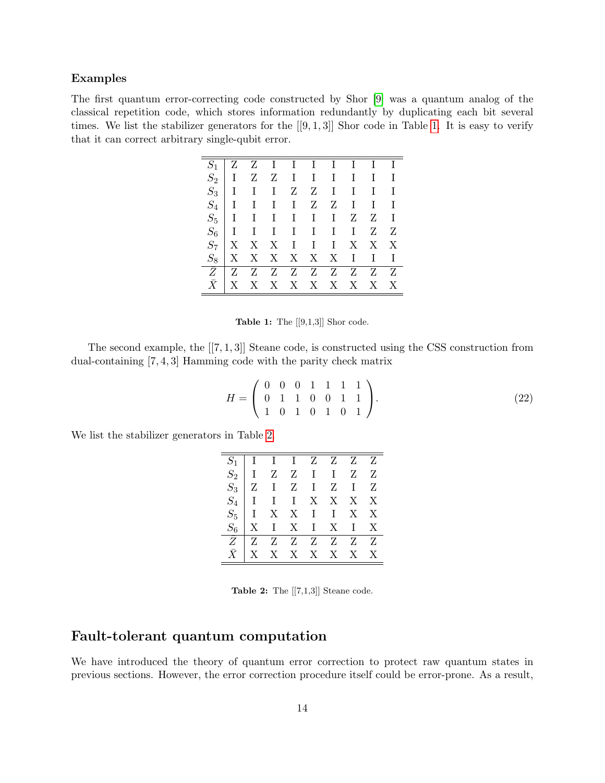### Examples

<span id="page-13-0"></span>The first quantum error-correcting code constructed by Shor [\[9\]](#page-16-1) was a quantum analog of the classical repetition code, which stores information redundantly by duplicating each bit several times. We list the stabilizer generators for the  $[[9,1,3]]$  Shor code in Table [1.](#page-13-0) It is easy to verify that it can correct arbitrary single-qubit error.

| $S_1$     | Z            |                           |              |       | $Z$ I I I I I I I           |              |              |              |              |
|-----------|--------------|---------------------------|--------------|-------|-----------------------------|--------------|--------------|--------------|--------------|
| $S_2$     | Ι            | Z                         |              |       | $Z \quad I \quad I \quad I$ |              | $\;$ I       | $\mathbf{I}$ | $\bf I$      |
| $S_3$   I |              | $\mathbf{I}$              | $\mathbf{I}$ |       | $Z \tZ \tI$                 |              | $\bf{I}$     | $\mathbf{I}$ | $\mathbf{I}$ |
| $S_4$     | $\mathbf{I}$ |                           | $I$ $I$ $I$  |       | Z                           | $Z -$        | $\mathbf{I}$ | $\mathbf I$  | $\mathbf I$  |
|           | $S_5$ I      |                           | $I$ $I$ $I$  |       | $\mathbf{I}$                | $\mathbf{I}$ | Ζ            | Z            | $\bf{I}$     |
| $S_6$     | $\mathbf{I}$ |                           |              |       | $I$ $I$ $I$ $I$             | $\;$ I $\;$  | $\mathbf{I}$ | Ζ            | Z            |
| $S_7$     | X            | X                         |              |       | $X$ $I$ $I$ $I$             |              | $X_{-}$      | X            | X            |
|           | X            | $\boldsymbol{\mathrm{X}}$ |              | X X X |                             | $\mathbf{X}$ | $\mathbf{I}$ | $\mathbf{I}$ | $\mathbf I$  |
| Z         | Z            | Z                         |              |       | $Z \quad Z \quad Z \quad Z$ |              | Z            | $Z -$        | Z            |
|           | X            | $\mathbf{X}$              |              |       | X X X X                     |              | X            | X            | X            |

**Table 1:** The  $[[9,1,3]]$  Shor code.

The second example, the  $[[7, 1, 3]]$  Steane code, is constructed using the CSS construction from dual-containing [7, 4, 3] Hamming code with the parity check matrix

$$
H = \left(\begin{array}{cccccc} 0 & 0 & 0 & 1 & 1 & 1 & 1 \\ 0 & 1 & 1 & 0 & 0 & 1 & 1 \\ 1 & 0 & 1 & 0 & 1 & 0 & 1 \end{array}\right).
$$
 (22)

<span id="page-13-1"></span>We list the stabilizer generators in Table [2.](#page-13-1)

| $\begin{tabular}{c cccccc} $S_1$ & I & I & I & Z & Z & Z & Z \\ $S_2$ & I & Z & Z & I & I & Z & Z \\ $S_3$ & Z & I & Z & I & Z & I & Z \\ $S_4$ & I & I & I & X & X & X & X \\ $S_5$ & I & X & X & I & I & X & X \\ $S_6$ & X & I & X & I & X & I & X \\ \hline \hline Z & Z & Z & Z & Z & Z & Z & Z \\ \end{tabular}$ |  |               |  |
|------------------------------------------------------------------------------------------------------------------------------------------------------------------------------------------------------------------------------------------------------------------------------------------------------------------------|--|---------------|--|
|                                                                                                                                                                                                                                                                                                                        |  |               |  |
|                                                                                                                                                                                                                                                                                                                        |  | X X X X X X X |  |

Table 2: The  $[[7,1,3]]$  Steane code.

### Fault-tolerant quantum computation

We have introduced the theory of quantum error correction to protect raw quantum states in previous sections. However, the error correction procedure itself could be error-prone. As a result,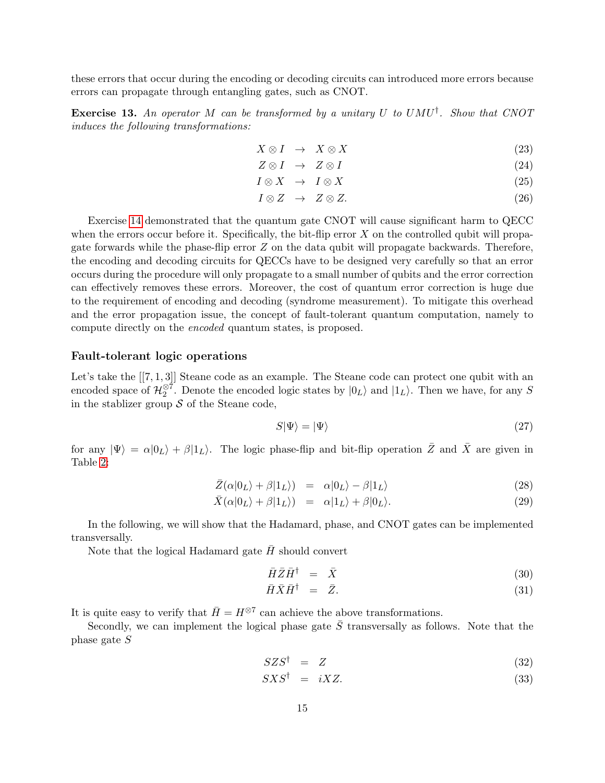these errors that occur during the encoding or decoding circuits can introduced more errors because errors can propagate through entangling gates, such as CNOT.

**Exercise 13.** An operator M can be transformed by a unitary U to  $U M U^{\dagger}$ . Show that CNOT induces the following transformations:

$$
X \otimes I \quad \to \quad X \otimes X \tag{23}
$$

$$
Z \otimes I \quad \rightarrow \quad Z \otimes I \tag{24}
$$

$$
I \otimes X \quad \to \quad I \otimes X \tag{25}
$$

$$
I \otimes Z \quad \rightarrow \quad Z \otimes Z. \tag{26}
$$

Exercise [14](#page-15-6) demonstrated that the quantum gate CNOT will cause significant harm to QECC when the errors occur before it. Specifically, the bit-flip error  $X$  on the controlled qubit will propagate forwards while the phase-flip error  $Z$  on the data qubit will propagate backwards. Therefore, the encoding and decoding circuits for QECCs have to be designed very carefully so that an error occurs during the procedure will only propagate to a small number of qubits and the error correction can effectively removes these errors. Moreover, the cost of quantum error correction is huge due to the requirement of encoding and decoding (syndrome measurement). To mitigate this overhead and the error propagation issue, the concept of fault-tolerant quantum computation, namely to compute directly on the encoded quantum states, is proposed.

#### Fault-tolerant logic operations

Let's take the  $[[7,1,3]]$  Steane code as an example. The Steane code can protect one qubit with an encoded space of  $\mathcal{H}_2^{\otimes 7}$ . Denote the encoded logic states by  $|0_L\rangle$  and  $|1_L\rangle$ . Then we have, for any S in the stablizer group  $\mathcal S$  of the Steane code,

$$
S|\Psi\rangle = |\Psi\rangle \tag{27}
$$

for any  $|\Psi\rangle = \alpha|0_L\rangle + \beta|1_L\rangle$ . The logic phase-flip and bit-flip operation  $\overline{Z}$  and  $\overline{X}$  are given in Table [2:](#page-13-1)

$$
\bar{Z}(\alpha|0_L\rangle + \beta|1_L\rangle) = \alpha|0_L\rangle - \beta|1_L\rangle \tag{28}
$$

$$
\bar{X}(\alpha|0_L\rangle + \beta|1_L\rangle) = \alpha|1_L\rangle + \beta|0_L\rangle. \tag{29}
$$

In the following, we will show that the Hadamard, phase, and CNOT gates can be implemented transversally.

Note that the logical Hadamard gate  $\bar{H}$  should convert

$$
\bar{H}\bar{Z}\bar{H}^{\dagger} = \bar{X} \tag{30}
$$

$$
\bar{H}\bar{X}\bar{H}^{\dagger} = \bar{Z}.
$$
\n(31)

It is quite easy to verify that  $\bar{H} = H^{\otimes 7}$  can achieve the above transformations.

Secondly, we can implement the logical phase gate  $\overline{S}$  transversally as follows. Note that the phase gate S

$$
SZS^{\dagger} = Z \tag{32}
$$

$$
SXS^{\dagger} = iXZ. \tag{33}
$$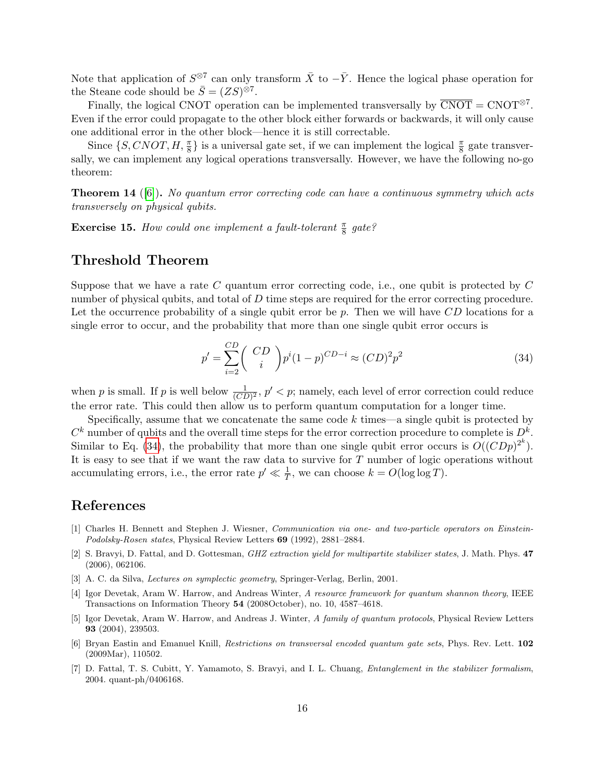Note that application of  $S^{\otimes 7}$  can only transform  $\bar{X}$  to  $-\bar{Y}$ . Hence the logical phase operation for the Steane code should be  $\bar{S} = (ZS)^{\otimes 7}$ .

Finally, the logical CNOT operation can be implemented transversally by  $\overline{CNOT} = CNOT^{\otimes 7}$ . Even if the error could propagate to the other block either forwards or backwards, it will only cause one additional error in the other block—hence it is still correctable.

Since  $\{S, CNOT, H, \frac{\pi}{8}\}\$ is a universal gate set, if we can implement the logical  $\frac{\pi}{8}$  gate transversally, we can implement any logical operations transversally. However, we have the following no-go theorem:

<span id="page-15-6"></span>**Theorem 14** ([\[6\]](#page-15-7)). No quantum error correcting code can have a continuous symmetry which acts transversely on physical qubits.

**Exercise 15.** How could one implement a fault-tolerant  $\frac{\pi}{8}$  gate?

## Threshold Theorem

Suppose that we have a rate  $C$  quantum error correcting code, i.e., one qubit is protected by  $C$ number of physical qubits, and total of D time steps are required for the error correcting procedure. Let the occurrence probability of a single qubit error be  $p$ . Then we will have  $CD$  locations for a single error to occur, and the probability that more than one single qubit error occurs is

<span id="page-15-8"></span>
$$
p' = \sum_{i=2}^{CD} \binom{CD}{i} p^i (1-p)^{CD-i} \approx (CD)^2 p^2 \tag{34}
$$

when p is small. If p is well below  $\frac{1}{(CD)^2}$ ,  $p' < p$ ; namely, each level of error correction could reduce the error rate. This could then allow us to perform quantum computation for a longer time.

Specifically, assume that we concatenate the same code  $k$  times—a single qubit is protected by  $C^k$  number of qubits and the overall time steps for the error correction procedure to complete is  $D^k$ . Similar to Eq. [\(34\)](#page-15-8), the probability that more than one single qubit error occurs is  $O((CDp)^{2^k})$ . It is easy to see that if we want the raw data to survive for  $T$  number of logic operations without accumulating errors, i.e., the error rate  $p' \ll \frac{1}{T}$ , we can choose  $k = O(\log \log T)$ .

# References

- <span id="page-15-5"></span>[1] Charles H. Bennett and Stephen J. Wiesner, Communication via one- and two-particle operators on Einstein-Podolsky-Rosen states, Physical Review Letters 69 (1992), 2881–2884.
- <span id="page-15-2"></span>[2] S. Bravyi, D. Fattal, and D. Gottesman, *GHZ extraction yield for multipartite stabilizer states*, J. Math. Phys. 47 (2006), 062106.
- <span id="page-15-0"></span>[3] A. C. da Silva, Lectures on symplectic geometry, Springer-Verlag, Berlin, 2001.
- <span id="page-15-3"></span>[4] Igor Devetak, Aram W. Harrow, and Andreas Winter, A resource framework for quantum shannon theory, IEEE Transactions on Information Theory 54 (2008October), no. 10, 4587–4618.
- <span id="page-15-4"></span>[5] Igor Devetak, Aram W. Harrow, and Andreas J. Winter, A family of quantum protocols, Physical Review Letters 93 (2004), 239503.
- <span id="page-15-7"></span>[6] Bryan Eastin and Emanuel Knill, Restrictions on transversal encoded quantum gate sets, Phys. Rev. Lett. 102 (2009Mar), 110502.
- <span id="page-15-1"></span>[7] D. Fattal, T. S. Cubitt, Y. Yamamoto, S. Bravyi, and I. L. Chuang, Entanglement in the stabilizer formalism, 2004. quant-ph/0406168.